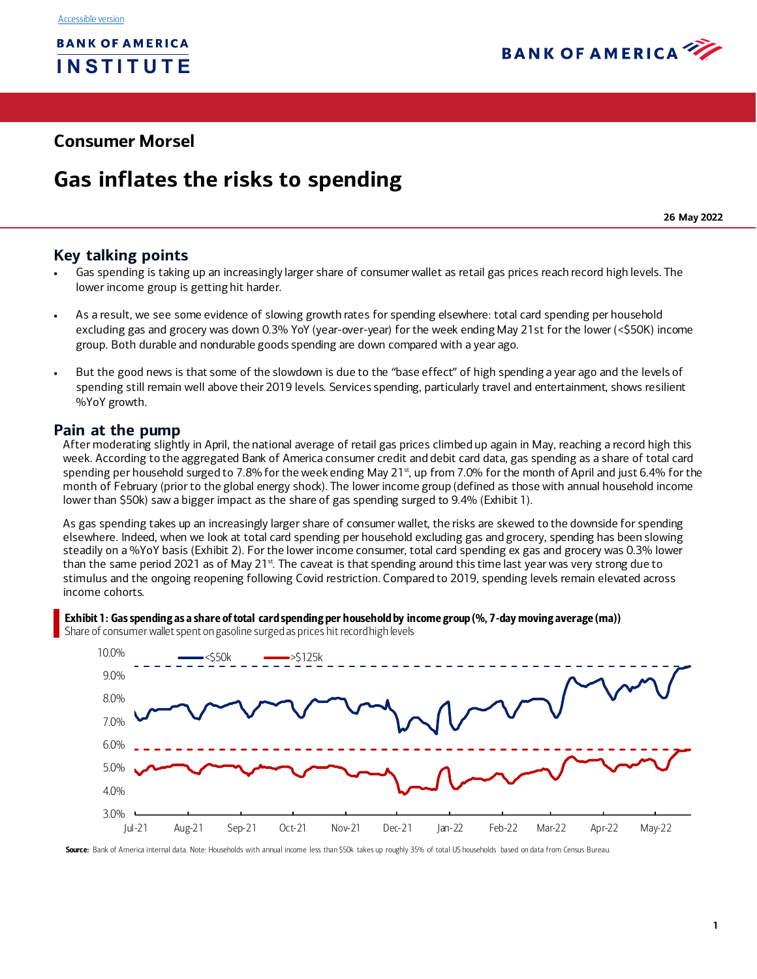

## **Consumer Morsel**

## **Gas inflates the risks to spending**

**26 May 2022**

## **Key talking points**

- Gas spending is taking up an increasingly larger share of consumer wallet as retail gas prices reach record high levels. The lower income group is getting hit harder.
- As a result, we see some evidence of slowing growth rates for spending elsewhere: total card spending per household excluding gas and grocery was down 0.3% YoY (year-over-year) for the week ending May 21st for the lower (<\$50K) income group. Both durable and nondurable goods spending are down compared with a year ago.
- But the good news is that some of the slowdown is due to the "base effect" of high spending a year ago and the levels of spending still remain well above their 2019 levels. Services spending, particularly travel and entertainment, shows resilient %YoY growth.

#### **Pain at the pump**

After moderating slightly in April, the national average of retail gas prices climbed up again in May, reaching a record high this week. According to the aggregated Bank of America consumer credit and debit card data, gas spending as a share of total card spending per household surged to 7.8% for the week ending May 21 $<sup>st</sup>$ , up from 7.0% for the month of April and just 6.4% for the</sup> month of February (prior to the global energy shock). The lower income group (defined as those with annual household income lower than \$50k) saw a bigger impact as the share of gas spending surged to 9.4[% \(Exhibit 1](#page-0-0)).

As gas spending takes up an increasingly larger share of consumer wallet, the risks are skewed to the downside for spending elsewhere. Indeed, when we look at total card spending per household excluding gas and grocery, spending has been slowing steadily on a %YoY basis [\(Exhibit 2\)](#page-1-0). For the lower income consumer, total card spending ex gas and grocery was 0.3% lower than the same period 2021 as of May 21<sup>st</sup>. The caveat is that spending around this time last year was very strong due to stimulus and the ongoing reopening following Covid restriction. Compared to 2019, spending levels remain elevated across income cohorts.

#### <span id="page-0-0"></span>Exhibit 1: Gas spending as a share of total card spending per household by income group (%, 7-day moving average (ma))

Share of consumer wallet spent on gasoline surged as prices hit record high levels



Source: Bank of America internal data. Note: Households with annual income less than \$50k takes up roughly 35% of total US households based on data from Census Bureau.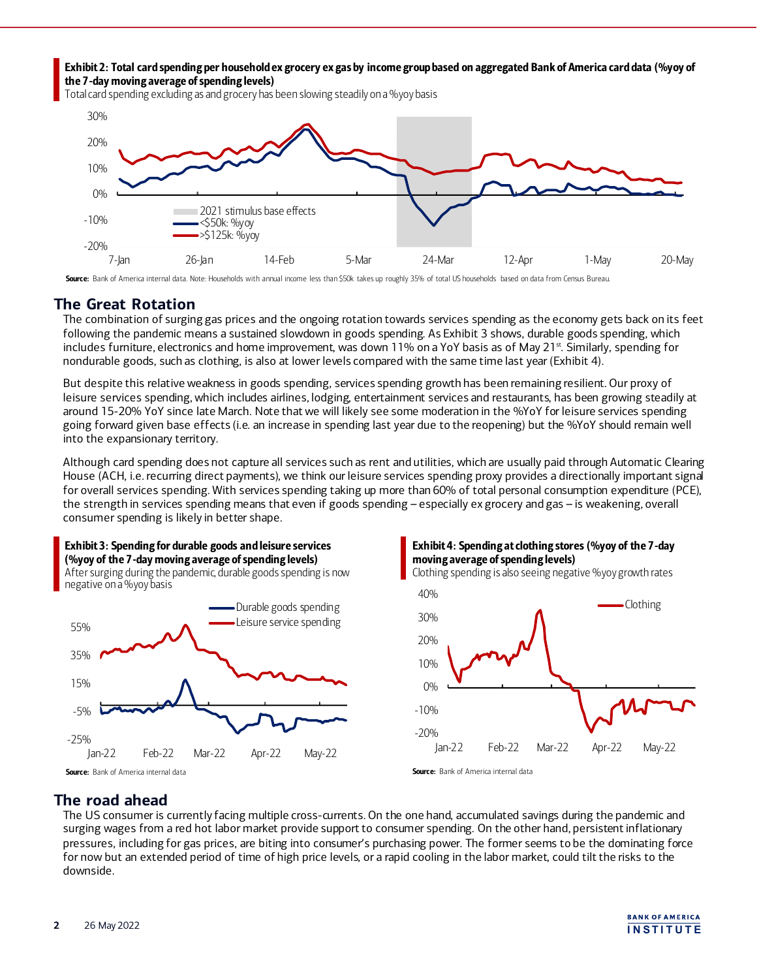<span id="page-1-0"></span>Exhibit 2: Total card spending per household ex grocery ex gas by income group based on aggregated Bank of America card data (%yoy of the 7-day moving average of spending levels)

Total card spending excluding as and grocery has been slowing steadily on a %yoy basis



Source: Bank of America internal data. Note: Households with annual income less than \$50k takes up roughly 35% of total US households based on data from Census Bureau.

## **The Great Rotation**

The combination of surging gas prices and the ongoing rotation towards services spending as the economy gets back on its feet following the pandemic means a sustained slowdown in goods spending. A[s Exhibit 3](#page-1-1) shows, durable goods spending, which includes furniture, electronics and home improvement, was down 11% on a YoY basis as of May 21<sup>st</sup>. Similarly, spending for nondurable goods, such as clothing, is also at lower levels compared with the same time last year [\(Exhibit 4](#page-1-2)).

But despite this relative weakness in goods spending, services spending growth has been remaining resilient. Our proxy of leisure services spending, which includes airlines, lodging, entertainment services and restaurants, has been growing steadily at around 15-20% YoY since late March. Note that we will likely see some moderation in the %YoY for leisure services spending going forward given base effects (i.e. an increase in spending last year due to the reopening) but the %YoY should remain well into the expansionary territory.

Although card spending does not capture all services such as rent and utilities, which are usually paid through Automatic Clearing House (ACH, i.e. recurring direct payments), we think our leisure services spending proxy provides a directionally important signal for overall services spending. With services spending taking up more than 60% of total personal consumption expenditure (PCE), the strength in services spending means that even if goods spending – especially ex grocery and gas – is weakening, overall consumer spending is likely in better shape.

<span id="page-1-1"></span>

<span id="page-1-2"></span>



## **The road ahead**

The US consumer is currently facing multiple cross-currents. On the one hand, accumulated savings during the pandemic and surging wages from a red hot labor market provide support to consumer spending. On the other hand, persistent inflationary pressures, including for gas prices, are biting into consumer's purchasing power. The former seems to be the dominating force for now but an extended period of time of high price levels, or a rapid cooling in the labor market, could tilt the risks to the downside.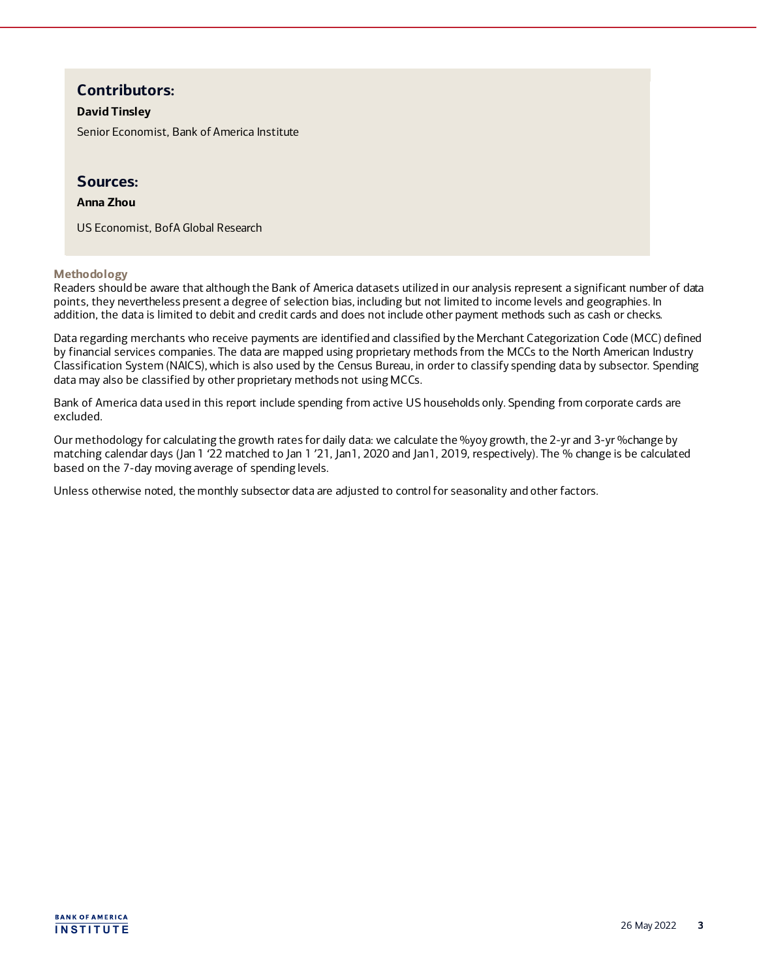## **Contributors:**

#### **David Tinsley**

Senior Economist, Bank of America Institute

#### **Sources:**

#### **Anna Zhou**

US Economist, BofA Global Research

**Methodology** 

Readers should be aware that although the Bank of America datasets utilized in our analysis represent a significant number of data points, they nevertheless present a degree of selection bias, including but not limited to income levels and geographies. In addition, the data is limited to debit and credit cards and does not include other payment methods such as cash or checks.

Data regarding merchants who receive payments are identified and classified by the Merchant Categorization Code (MCC) defined by financial services companies. The data are mapped using proprietary methods from the MCCs to the North American Industry Classification System (NAICS), which is also used by the Census Bureau, in order to classify spending data by subsector. Spending data may also be classified by other proprietary methods not using MCCs.

Bank of America data used in this report include spending from active US households only. Spending from corporate cards are excluded.

Our methodology for calculating the growth rates for daily data: we calculate the %yoy growth, the 2-yr and 3-yr %change by matching calendar days (Jan 1 '22 matched to Jan 1 '21, Jan1, 2020 and Jan1, 2019, respectively). The % change is be calculated based on the 7-day moving average of spending levels.

Unless otherwise noted, the monthly subsector data are adjusted to control for seasonality and other factors.